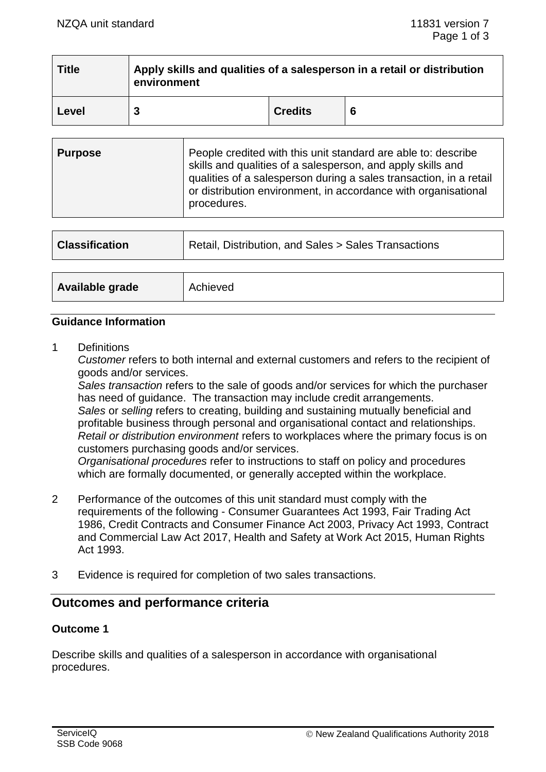| <b>Title</b> | Apply skills and qualities of a salesperson in a retail or distribution<br>environment |                |   |  |  |
|--------------|----------------------------------------------------------------------------------------|----------------|---|--|--|
| Level        |                                                                                        | <b>Credits</b> | 6 |  |  |

| <b>Purpose</b> |
|----------------|
|----------------|

| <b>Classification</b> | Retail, Distribution, and Sales > Sales Transactions |  |
|-----------------------|------------------------------------------------------|--|
|                       |                                                      |  |
| Available grade       | Achieved                                             |  |

#### **Guidance Information**

1 Definitions

*Customer* refers to both internal and external customers and refers to the recipient of goods and/or services.

*Sales transaction* refers to the sale of goods and/or services for which the purchaser has need of quidance. The transaction may include credit arrangements. *Sales* or *selling* refers to creating, building and sustaining mutually beneficial and profitable business through personal and organisational contact and relationships. *Retail or distribution environment* refers to workplaces where the primary focus is on customers purchasing goods and/or services.

*Organisational procedures* refer to instructions to staff on policy and procedures which are formally documented, or generally accepted within the workplace.

- 2 Performance of the outcomes of this unit standard must comply with the requirements of the following - Consumer Guarantees Act 1993, Fair Trading Act 1986, Credit Contracts and Consumer Finance Act 2003, Privacy Act 1993, Contract and Commercial Law Act 2017, Health and Safety at Work Act 2015, Human Rights Act 1993.
- 3 Evidence is required for completion of two sales transactions.

# **Outcomes and performance criteria**

### **Outcome 1**

Describe skills and qualities of a salesperson in accordance with organisational procedures.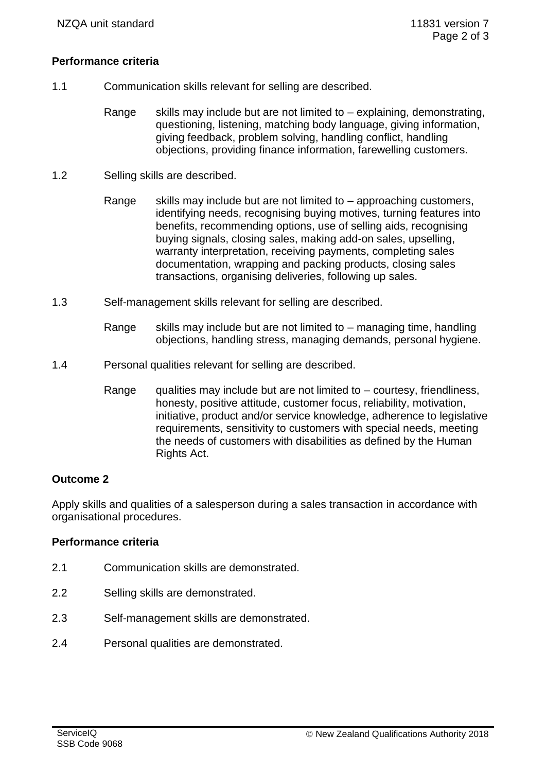### **Performance criteria**

- 1.1 Communication skills relevant for selling are described.
	- Range skills may include but are not limited to  $-$  explaining, demonstrating, questioning, listening, matching body language, giving information, giving feedback, problem solving, handling conflict, handling objections, providing finance information, farewelling customers.
- 1.2 Selling skills are described.
	- Range skills may include but are not limited to  $-$  approaching customers, identifying needs, recognising buying motives, turning features into benefits, recommending options, use of selling aids, recognising buying signals, closing sales, making add-on sales, upselling, warranty interpretation, receiving payments, completing sales documentation, wrapping and packing products, closing sales transactions, organising deliveries, following up sales.
- 1.3 Self-management skills relevant for selling are described.
	- Range skills may include but are not limited to managing time, handling objections, handling stress, managing demands, personal hygiene.
- 1.4 Personal qualities relevant for selling are described.
	- Range gualities may include but are not limited to  $-$  courtesy, friendliness, honesty, positive attitude, customer focus, reliability, motivation, initiative, product and/or service knowledge, adherence to legislative requirements, sensitivity to customers with special needs, meeting the needs of customers with disabilities as defined by the Human Rights Act.

### **Outcome 2**

Apply skills and qualities of a salesperson during a sales transaction in accordance with organisational procedures.

### **Performance criteria**

- 2.1 Communication skills are demonstrated.
- 2.2 Selling skills are demonstrated.
- 2.3 Self-management skills are demonstrated.
- 2.4 Personal qualities are demonstrated.